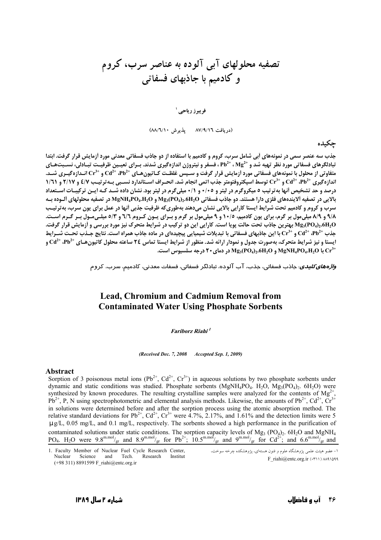## تصفیه محلولهای آبی آلوده به عناصر سرب، کروم و کادمیم با جاذبهای فسفاتی

فويبوز رياحي ا

(دريافت ٨٧/٩/١٦ - يذيرش ٨٨/٦/١٠)

حكىدە

جذب سه عنصر سمی در نمونههای آبی شامل سرب، کروم و کادمیم با استفاده از دو جاذب فسفاتی معدنی مورد آزمایش قرار گرفت. ابتدا تبادلگرهای فسفاتی مورد نظر تهیه شد و \*Pb^ ، Mg^ ، فسفر و نیتروژن اندازهگیری شدند. بـرای تعیـین ظرفیـت تبـادلی، نسـبتهـای متفاوتی از محلول با نمونههای فسفاتی مورد آزمایش قرار گرفت و سـیس غلظـت کـاتیون هـای ۵۲<sup>2+ (2</sup>۲۵ و <sup>+2</sup>Cr انـدازه گیـری شــد. 11 اندازه گیری  $\rm{C}d^{2+}$  ،  $\rm{C}d^{3+}$  توسط اسپکتروفتومتر جذب اتمی انجام شد. انحـراف اسـتاندارد نسـبی بـه ترتیـب ۶/۷ و ۲/۱۷ و ۱/۲۱ درصد و حد تشخیص آنها به ترتیب ٥ میکروگرم در لیتر و ٠/٠ و ١/٠ میلیگرم در لیتر بود. نشان داده شـد کـه ایـن ترکیبـات اسـتعداد بالايي در تصفيه ألايندههاي فلزي دارا هستند. دو جاذب فسفاتي Mg3(PO4)2.6H2O و MgNH4PO4.H2O در تصفيه محلولهاي ألـوده بـه سرب و کروم و کادمیم تحت شرایط ایستا کارایی بالایی نشان میدهند بهطوریکه ظرفیت جذبی آنها در عمل برای پون سرب، بهترتیب ۹/۸ و ۸/۹ میلی مول بر گرم، برای یون کادمیم، ۱۰/۵ و ۹ میلی مول بر گرم و بـرای یـون کـروم ٦/٦ و ٥/٣ میلـی مـول بـر گـرم اسـت. Mg3(PO4)2.6H2O بهترین جاذب تحت حالت پویا است. کارایی این دو ترکیب در شرایط متحرک نیز مورد بررسی و أزمایش قرار گرفت. جذب \*Db2، و \*Cr3، و +Cr3 با این جاذبهای فسفاتی با تبدیلات شیمیایی پیچیدهای در ماده جاذب همراه است. نتایج جـذب تحـت شــرایط ایستا و نیز شرایط متحرک، بهصورت جدول و نمودار ارائه شد. منظور از شرایط ایستا تماس ۲۶ ساعته محلول کاتیون هـای \*Cd و +Cd و ا MgNH<sub>4</sub>PO<sub>4</sub>.H<sub>2</sub>O و Mg<sub>3</sub>(PO<sub>4</sub>)<sub>2</sub>.6H<sub>2</sub>O در دمای ۲۰ درجه سلسیوس است.

.<br>و*اژههای کلیدی*: جاذب فسفاتی، جذب، آب آلوده، تبادلگر فسفاتی، فسفات معدنی، کادمیم، سرب، کروم

## **Lead, Chromium and Cadmium Removal from Contaminated Water Using Phosphate Sorbents**

## Fariborz Riahi<sup>1</sup>

(Received Dec. 7, 2008 Accepted Sep. 1, 2009)

## **Abstract**

Sorption of 3 poisonous metal ions ( $Pb^{2+}$ ,  $Cd^{2+}$ ,  $Cr^{3+}$ ) in aqueous solutions by two phosphate sorbents under dynamic and static conditions was studied. Phosphate sorbents (MgNH<sub>4</sub>PO<sub>4</sub>. H<sub>2</sub>O, Mg<sub>3</sub>(PO<sub>4</sub>)<sub>2</sub>. 6H<sub>2</sub>O) were synthesized by known procedures. The resulting crystalline samples were analyzed for the contents of  $Mg^{2+}$ ,  $Pb^{2+}$ ,  $P$ , N using spectrophotometric and elemental analysis methods. Likewise, the amounts of  $Pb^{2+}$ , in solutions were determined before and after the sorption process using the atomic absorption method. The relative standard deviations for Pb<sup>2+</sup>, Cd<sup>2+</sup>, Cr<sup>3+</sup> were 4.7%, 2.17%, and 1.61% and the detection limits were 5  $\mu$  g/L, 0.05 mg/L, and 0.1 mg/L, respectively. The sorbents showed a high performance in the purification of contaminated solutions under static conditions. The sorption capacity levels of Mg<sub>3</sub> (PO<sub>4</sub>), 6H<sub>2</sub>O and MgNH<sub>4</sub> PO<sub>4</sub>. H<sub>2</sub>O were 9.8<sup>mmol</sup>/<sub>gr</sub> and 8.9<sup>mmol</sup>/<sub>gr</sub> for Pb<sup>2+</sup>; 10.5<sup>mmol</sup>/<sub>gr</sub> and 9<sup>mmol</sup>/<sub>gr</sub> for Cd<sup>2+</sup>; and 6.6<sup>mmol</sup>/<sub>gr</sub> and

1. Faculty Member of Nuclear Fuel Cycle Research Center, Nuclear Science and Tech. Research Institut  $(+98311)$  8891599 F riahi@entc.org.ir

۱– عضو هیئت علمی پژوهشگاه علوم و فنون هستهای، پژوهشکده چرخه سوخت، F riahi@entc.org.ir (٣١١) ٨٨٩١٥٩٩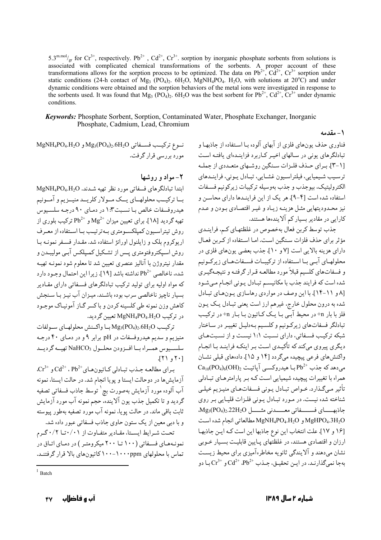5.3<sup>m.mol</sup>/<sub>gr</sub> for Cr<sup>3+</sup>, respectively. Pb<sup>2+</sup>, Cd<sup>2+</sup>, Cr<sup>3+</sup>. sorption by inorganic phosphate sorbents from solutions is associated with complicated chemical transformations of the sorbents. A proper account of these transformations allows for the sorption process to be optimized. The data on  $Pb^{2+}$ ,  $Cd^{2+}$ ,  $Cr^{3+}$  sorption under static conditions (24-h contact of Mg<sub>3</sub> (PO<sub>4</sub>)<sub>2</sub>. 6H<sub>2</sub>O, MgNH<sub>4</sub>PO<sub>4</sub>. H<sub>2</sub>O, with solutions at 20<sup>o</sup>C) and under dynamic conditions were obtained and the sorption behaviors of the metal ions were investigated in response to the sorbents used. It was found that Mg<sub>3</sub> (PO<sub>4</sub>)<sub>2</sub>. 6H<sub>2</sub>O was the best sorbent for Pb<sup>2+</sup>, Cd<sup>2+</sup>, Cr<sup>3+</sup> under dynamic conditions.

**Keywords:** Phosphate Sorbent, Sorption, Contaminated Water, Phosphate Exchanger, Inorganic Phosphate, Cadmium, Lead, Chromium

١- مقدمه

 $MgNH_4PO_4.H_2O$  9 تو ع تركيب فسسفاتي  $Mg_3(PO_4)_2.6H_2O$ و MgNH<sub>4</sub>PO<sub>4</sub>.H مورد بررسی قرار گرفت.

۲- مواد و روشها

 $MgNH_4PO_4.H_2O$ . ابتدا تبادلگر های فسفاتی مورد نظر تهیه شـدند. بسا ترکیسب محلولهسای پسک مسولار کلریسد منیسزیم و آمسونیم هیدروفسفات خالص بـا نسـبت ۱:۳ در دمـای ۹۰ درجـه سلسـیوس تهیه گردید [۱۸]. برای تعیین میزان  ${\rm Mg^{2+}}$  و  ${\rm Pb^{2+}}$  ترکیب بلوری از روش تیتراسیون کمیلکسومتری بهترتیب با استفاده از معرف اریوکروم بلک و زایلنول اورانژ استفاده شد. مقـدار فسـفر نمونـه بـا روش اسـپکتروفتومتري پــس از تشـکيل کمـپلکس آبـي موليبــدن و مقدار نيتروژن با آناليز عنصري تعيين شد تا معلوم شود نمونـه تهيـه شده، ناخالصي <sup>+2</sup>Pb نداشته باشد [19]. زيرا اين احتمال وجـود دارد که مواد اولیه برای تولید ترکیب تبادلگرهای فسیفاتی دارای مقیادیر بسیار ناچیز ناخالصی سرب بوده باشـند. میـزان آب نیـز بـا سـنجش کاهش وزن نمونه طے کلسینه کردن و پاکسر گیاز آمونساک موجبود در ترکیب MgNH<sub>4</sub>PO<sub>4</sub>.H<sub>2</sub>O تعیین گردید.

تركيب Mg<sub>3</sub>(PO<sub>4)2</sub>.6H<sub>2</sub>O بيا واكسنش محلولهياي سيولفات منیزیم و سدیم هیدروفسفات در pH برابر ۹ و در دمـای ۴۰ درجـه سلسميوس همراه با افرودن محلول NaHCO3 تهيمه گرديمد  $JY$ )  $JY$ 

 $\text{C}t^{3+}$  برای مطالعه جذب تبادلی کاتیونهای $\text{C}d^{2+}$  .  $\text{C}d^{2+}$  .  $\text{C}t^{3+}$ آزمایش ها در دوحالت ایستا و پویا انجام شد. در حالت ایستا، نمونه آب آلوده مورد آزمایش بهصورت بچ<sup>\</sup> توسط جاذب فسفاتی تصفیه گردید و تا تکمیل جذب یون آلاینده، حجم نمونه آب مورد آزمایش ثابت باقی ماند. در حالت یو با، نمونه آب مورد تصفیه بهطور پیوسته و با دبی معین از یک ستون حاوی جاذب فسفاتی عبور داده شد.

تحت شیرایط ایستا، مقیادیر متفیاوت از ۰/۰۱تیا ۰/۲گیرم نمونـههـای فسـفاتی (۱۰۰ تـا ۲۰۰ میکرومتـر ) در دمـای اتـاق در تماس با محلولهای ppm-۱۰۰-۱۰۰۰ کاتیونهای بالا قرار گرفتند.

فناوري حذف بونءاي فلزي از آبهاي آلوده بـا اسـتفاده از حاذبهـا و تبادلگرهای یونی در سالهای اخیر کاربرد فزایندهای یافته است [١-٣]. بيراي حيذف فليزات سينگين روشيهاي متعبددي از جمليه ترسیب شیمیایی، فیلتراسیون غشایی، تبادل یـونی، فراینـدهای الكتروليتيك، بيوجذب و جذب بهوسيله تركيبات زيركونيم فسـفات استفاده شده است [۴-۹]. هر یک از این فراینـدها دارای محاسـن و نیز محدودیتهایی مثـل هزینـه زیـاد و غیـر اقتصـادی بـودن و عـدم کارایی در مقادیر بسیار کم آلایندهها هستند.

جدب توسط كربن فعال بهخصوص در غلظتهـاي كـم، فراينـدي مؤثر براي حذف فلزات سنگين است. امـا اسـتفاده از كـربن فعـال دارای هزینه بالایی است [۷ و ۱۰]. جذب بعضی یونهای فلزی در محلولهـاي آبـي بـا اسـتفاده از تركيبـات فسـفاتهـاي زيركـونيم و فسفاتهاي كلسيم قبلاً مورد مطالعـه قـرار گرفتـه و نتيجـهگيـري شده است که فرایند جذب با مکانیسم تبادل یـونی انجـام مـیشـود [٨ و ١١-١۴]. با اين وصف در مواردي رهاسازي يون هاي تبادل شده به درون محلول خارج، غیرهم ارز است یعنی تبـادل یـک یـون فلز با بار n+ در محیط آبـی بـا یـک کـاتیون بـا بـار n+ در ترکیـب تبادلگر فسفاتهاي زيركونيم وكلسيم بـهدليـل تغييـر در سـاختار شبکه ترکیب فسفاتی، دارای نسبت ۱:۱ نیست و از نسبتهای دیگری پیروی میکندکه تأکیـدی اسـت بـر اینکـه فراینـد بـا انجـام واکنشهای فرعی پیچیده میگردد [۱۴ و ۱۵]. دادههای قبلی نشـان  $\rm Ca_{10}(PO_4)_6(OH)_2$  می دهد که جذب  $\rm Pb^{2+}$ با هیدروکسـی آپاتیـت د همراه با تغییرات پیچیده شیمیایی است کـه بـر پارامترهـای تبـادلی تأثیر مبیگذارد. خـواص تبـادل پـونی فسـفاتهـای منیـزیم خیلـی شناخته شده نیست. در مـورد تبـادل پـونی فلـزات قلیـایی بـر روی جاذبهـــاى فســــفاتى معــــدنى مثــــل Mg3(PO4)222H2O.  $MgNH_4PO_4.H_2O$ و MgNH4PO4.H2O مطالعاتي انجام شده است [١۶ و ١٧]. علت انتخاب اين نوع جاذبها اين است كه اين جاذبها ارزان و اقتصادی هستند، در غلظتهای پـایین قابلیـت بسـیار خـوبی نشان می،دهند و آلایندگی ثانویه مخاطرهآمیزی برای محیط زیست بهجا نعبی گذارنید. در این تحقیق، حیذب ${\rm Cd}^{2+}$  ،  ${\rm Cd}^{2+}$  با دو

آب و فاضلاب ۴۷

 $1$  Batch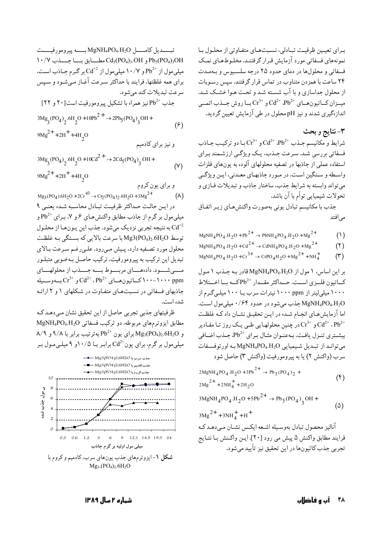برای تعیین ظرفیت تبادلی، نسبتهای متفاوتی از محلول با نمونههای فسفاتی مورد آزمایش قـرار گرفتنـد. مخلـوطهـای نمـک فسفاتي و محلولها در دماي حدود ٢٥ درجه سلسيوس و بـهمـدت ۲۴ ساعت با همزدن متناوب در تماس قرار گرفتند. سپس رسـوبات از محلول جداسازی و با آب شسته شـد و تحـت هـوا خشـک شـد.  $Cr^{3+}$  و  $Cr^{3+}$  میسزان کساتیون هسای  $Cd^{2+}$ ،  $Pb^{2+}$  بسا روش جسذب اتعسی اندازهگیری شدند و نیز pH محلول در طی آزمایش تعیین گردید.

۳-نتايج و بحث

شرايط و مكانيسم جـذب  ${\rm Cd^{2+}}$  ،  ${\rm Pb^{2+}}$  بـا دو تركيـب جـاذب فسفاتی بررسی شـد. سـرعت جـذب، یـک ویژگـی ارزشـمند بـرای استفاده عملی از جاذبها در تصفیه محلولهای آلوده به یونهای فلزات واسطه و سنگین است. در مورد جاذبهای معیدنی، این ویژگی مي تواند وابسته به شرايط جذب، ساختار جاذب و تبديلات فـازي و تحولات شیمیایی توأم با آن باشد.

جذب با مكانيسم تبادل يوني بهصورت واكنش هاى زيـر اتفاق مىافتد

- $MgNH_4PO_4.H_2O + Pb^{2+} \rightarrow PbNH_4PO_4.H_2O + Mg^{2+}$  $(1)$
- $MgNH_4PO_4.H_2O$  +  $Cd^{2+}$   $\rightarrow$  CdNH<sub>4</sub>PO<sub>4</sub>.H<sub>2</sub>O +  $Mg^{2+}$  $(1)$
- $MgNH_4PO_4.H_2O + Cr^{3+} \rightarrow CrPO_4H_2O + Mg^{2+} + NH_4^+$  $(5)$

 $\mu$ ا بر این اساس، ۱ مول از MgNH4PO4.H2O قادر به حیذب ۱ مول كساتيون فلسزى است. حسداكثر مقسدار <sup>+2</sup>Pb كسه بسا اخستلاط ۱۰۰۰ میلے لیتر از ۱۰۰۰ ppm انترات سرب یا ۱۰۰ میلے گیرم از ميلي مول است. MgNH4PO4.H2O اما آزمایش هـای انجـام شـده در ایـن تحقیـق نشـان داد کـه غلظـت و +2°Cd در چنین محلولهـایی طـی یـک روز تـا مقـادیر Cd<sup>2+</sup> ، Pb بیشتری تنیزل یافت. بیهعنیوان مثبال بیرای <sup>+2</sup>Pb، جیذب اضیافی مي توانيد از تبيديل شيميايي MgNH4PO4.H2O به اور توفسفات سرب (واكنش ٢) يا به پيرومورفيت (واكنش ٣) حاصل شود

 $2MgNH_4PO_4.H_2O + 3Pb^{2+} \rightarrow Pb_3(PO_4)_2 +$  $(\mathfrak{f})$  $2\text{Mg}^{2+}$  +  $2\text{NH}_4^+$  +  $2\text{H}_2\text{O}$ 

$$
3\text{MgNH}_4\text{PO}_4.\text{H}_2\text{O} + 5\text{Pb}^{2+} \to \text{Pb}_5(\text{PO}_4)_3\text{OH} +
$$
 (2)

$$
3\text{Mg}^{2+} + 3\text{NH}_4^+ + \text{H}^+
$$

آنالیز محصول تبادل بهوسیله اشعه ایکس نشیان مے دهید ک فرايند مطابق واكنش ۵ ييش مي رود [۲۰]. ايـن واكـنش بـا نتـايج تجربي جذب کاتيونها در اين تحقيق نيز -تأييد مي شود.

$$
3Mg_3(PO_4)_2.6H_2O + 10Cd^{2+} \rightarrow 2Cd_5(PO_4)_3.OH +
$$
  
\n
$$
9Mg^{2+} + 2H^+ + 4H_2O
$$
 (Y)

$$
\begin{array}{c}\n 2 \\
\times \\
\hline\n \text{Mg}_{3}(PO_{4}).6H_{2}O + 2Cr^{+3} \rightarrow Cr_{2}(PO_{4})_{2}.6H_{2}O + 3Mg^{2+} \\
(A)\n\end{array}
$$

در ايـن حالـت حـداكثر ظرفيـت تبـادل محاسـبه شـده يعنـى ٩ میلی مول بر گرم از جاذب مطابق واکنش هـای ۶ و ۷، بـرای <sup>+2</sup>Pb و به نتیجه تجربی نزدیک میشود. جذب این پـونهـا از محلـول  $\operatorname{Cd}^{+2}$ توسط Mg3(PO4)2.6H2O با سرعت بالايي كه بستگي بـه غلظـت محلول مورد تصفيه دارد، پيش مي رود. علي رغم سرعت بالاي تبدیل این ترکیب به پیرومورفیت، ترکیب حاصل بـهخـوبی متبلـور مسهى شسود. دادهمساي مربسوط بسه جسدب از محلولهساي

و "Cr<sup>3+</sup> د د ۱۰۰-۱۰۰ کساتیون هسای  $\operatorname{Cd}^{2+}$ ، Pb<sup>2+</sup> د بهوســیله جاذبهای فسفاتی در نسبتهای متفاوت در شکلهای ۱ و ۲ ارائه شده است.

ظرفیتهای جذبی تجربی حاصل از این تحقیق نشان می دهـد کـه مطابق ایزوترمهای مربوطه، دو ترکیب فسفاتی MgNH4PO4.H2O  $\lambda$ /۹ و Mg3(PO4)2.6H2O برای یون  $\rm{Pb}^{2+}$ بهترتیب برابر با ۹/۸ و ۹/۹ میلی مول بر گرم، برای یون<sup>+</sup>Cd برابـر بـا ۱۰/۵و ۹ میلـی *م*ـول بـر

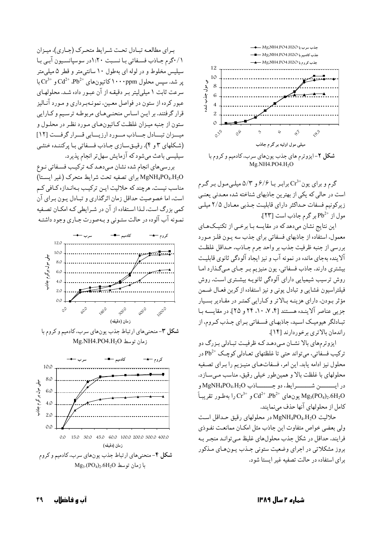برای مطالعه تبادل تحت شرایط متحرک (جـاری)، میـزان ٠/١ گرم جاذب فسفاتي با نسبت ١:٢٠در سوسيانسيون آبي با سیلیس مخلوط و در لوله ای بهطول ۱۰ سانتی متر و قطر ۵ میلی متر یر شد. سپس محلول ۱۰۰۰ppm (۲۰۰۰ppm و  $\mathrm{Cr^{3+}}$  با سرعت ثابت ١ ميلي ليتر بـر دقيقـه از آن عبـور داده شـد. محلولهـاي عبور کرده از ستون در فواصل معـین، نمونـهبـرداری و مـورد آنـالیز قرار گرفتند. بر ایـن اسـاس منحنـیهـای مربوطـه ترسـیم و كـارايي ستون از جنبه میـزان غلظـت کـاتیونهـای مـورد نظـر در محلـول و میسزان تبسادل جساذب مسورد ارزیسایی قسرار گرفست [۱۲] (شکلهای ۳ و ۴). رقیــق ســازی جــاذب فســفاتی بـا پرکننــده خنثــی سیلیسی باعث میشود که آزمایش سهل تر انجام پذیرد.

بررسی های انجام شده نشان مبی دهـد کـه ترکیـب فسـفاتی نـوع MgNH4PO4.H2O براى تصفيه تحت شرايط متحرك (غير ايستا) مناسب نیست. هرچند که حلالیت ایـن ترکیـب بـهانـدازه کـافی کـم است، اما خصوصیت حداقل زمان اثرگذاری و تبـادل پـون بـرای آن کمی بزرگ است، لـذا اسـتفاده از آن در شـرابطی کـه امکـان تصـفیه نمـونه آب آلوده در حالت ستـوني و بـهصورت جـاري وجود داشتـه



شکل ۳-منحنیهای ارتباط جذب یونهای سرب، کادمیم و کروم با زمان توسط Mg.NH4.PO4.H<sub>2</sub>O





گرم و برای یون<sup>+3</sup>Cr برابـر بــا ۶/۶ و ۵/۳ میلـیمـول بـر گـرم است در حالی که یکی از بهترین جاذبهای شناخته شده معـدنی یعنـی زیرکونیم فسفات حـداکثر دارای قابلیـت جـذبی معـادل ۲/۵ میلـی  $Pb^{2+}$  مول از  $Pb^{2+}$ بر گرم جاذب است [۲۳].

این نتایج نشان میدهد که در مقایسه بـا برخـی از تکنیـکهـای معمول، استفاده از جاذبهای فسفاتی برای جذب سه پون فلـز مـورد بررسي از جنبه ظرفيت جذب بر واحد جرم جـاذب، حـداقل غلظـت آلاینده بهجای مانده در نمونه آب و نیز ایجاد آلودگی ثانوی قابلیت بیشتری دارند. جاذب فسفاتی، یون منیزیم بـر جـای مـیگـذارد امـا روش ترسیب شیمیایی دارای آلودگی ثانویـه بیشـتری اسـت. روش فیلتراسیون غشایی و تبادل یونی و نیز استفاده از کربن فعـال ضـمن مؤثر بودن، داراي هزينـه بـالاتر و كـارايي كمتـر در مقـادير بسـيار جزیی عناصر آلاینـده هسـتند [۴، ۷، ۱۰، ۲۴ و ۲۵]. در مقایسـه بـا تبـادلگر هیومیـک اسـید، جاذبهـای فسـفاتی بـرای جـذب کـروم، از راندمان بالاترى برخوردارند [١۴].

ایزو تر مهای بالا نشـان مـی دهـد کـه ظرفیـت تبـادلی بـز رگ دو ترکيب فسفاتي، مي تواند حتى تا غلظتهاي تعــادلي کوچـک  $\mathrm{Pb}^{2+}$  در محلول نیز ادامه پابد. این امر، فسفاتهـای منیـزیم را بـرای تصـفیه محلولهای با غلظت بالا و همینطور خیلی رقیق، مناسب می سازد. در ايسسسن شسسسرايط، دو جسسساذب MgNH4PO4.H2O و يونهاي  ${\rm Cd^{2+}}$  ، ${\rm Pb^{2+}}$ و  ${\rm C}$ را بهطور تقريباً Mg3(PO4)2.6H2O كامل از محلولهای آنها حذف می نمایند.

حلاليت MgNH4PO4.H2O در محلولهاي رقيق حداقل است ولي بعضي خواص متفاوت اين جاذب مثل امكـان ممانعـت نفـوذي فرايند، حداقل در شكل جذب محلولهاي غليظ مـي توانـد منجـر بـه بروز مشکلاتی در اجرای وضعیت ستونی جـذب پـونهـای مـذکور برای استفاده در حالت تصفیه غیر ایستا شود.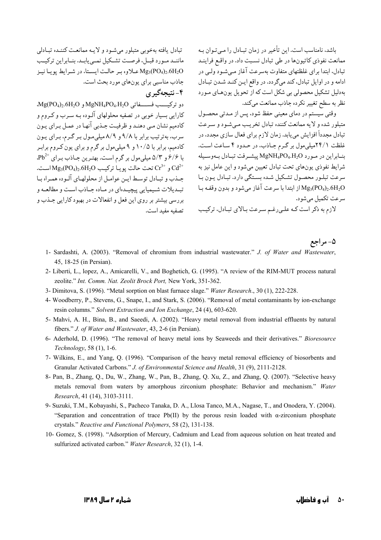باشد، نامناسب است. این تأخیر در زمان تبـادل را مـی تـوان بـه ممانعت نفوذي كاتيونها در طي تبادل نسبت داد. در واقع فراينـد تبادل، ابتدا برای غلظتهای متفاوت بهسرعت آغاز مـیشـود ولـی در ادامه و در اوایل تبادل، کند میگردد. در واقع این کنـد شـدن تبـادل بهدلیل تشکیل محصولی بی شکل است که از تحویل یونهای مورد نظر به سطح تغییر نکرده جاذب ممانعت میکند.

وقتی سیستم در دمای معینی حفظ شود، پس از مـدتی محصـول متبلور شده و لایه ممانعت کننده تبادل تخریب مبی شود و سـرعت تبادل مجدداً افزایش مییابد. زمان لازم برای فعال سازی مجدد، در غلظت ۲۴/۱میلی مول بر گرم جاذب، در حدود ۴ ساعت است. بنابراين در مورد MgNH4PO4.H2O ييشرفت تبادل بهوسيله شرايط نفوذي يونهاي تحت تبادل تعيين مي شود و اين عامل نيز به سرعت تبلـور محصـول تشـكيل شـده بسـتگي دارد. تبـادل يـون بـا از ابتدا با سرعت آغاز می شود و بدون وقفـه بـا ${ {\rm Mg}_3( {\rm PO}_4)_2.6 {\rm H}_2 {\rm O}}$ سرعت تکمیل می شود.

لازم به ذکر است کـه علـىرغـم سـرعت بـالاي تبـادل، ترکيـب

- ۵- مر اجع 1- Sardashti, A. (2003). "Removal of chromium from industrial wastewater." J. of Water and Wastewater, 45, 18-25 (in Persian).
	- 2- Liberti, L., lopez, A., Amicarelli, V., and Boghetich, G. (1995). "A review of the RIM-MUT process natural zeolite." Int. Comm. Nat. Zeolit Brock Port, New York, 351-362.
	- 3- Dimitova, S. (1996). "Metal sorption on blast furnace slage." Water Research., 30 (1), 222-228.

تصفيه مفيد است.

- 4- Woodberry, P., Stevens, G., Snape, I., and Stark, S. (2006). "Removal of metal contaminants by ion-exchange resin columns." Solvent Extraction and Ion Exchange, 24 (4), 603-620.
- 5- Mahvi, A. H., Bina, B., and Saeedi, A. (2002). "Heavy metal removal from industrial effluents by natural fibers." J. of Water and Wastewater, 43, 2-6 (in Persian).
- 6- Aderhold, D. (1996). "The removal of heavy metal ions by Seaweeds and their derivatives." Bioresource Technology, 58 (1), 1-6.
- 7- Wilkins, E., and Yang, Q. (1996). "Comparison of the heavy metal removal efficiency of biosorbents and Granular Activated Carbons." J. of Environmental Science and Health, 31 (9), 2111-2128.
- 8- Pan, B., Zhang, Q., Du, W., Zhang, W., Pan, B., Zhang, Q. Xu, Z., and Zhang, Q. (2007). "Selective heavy metals removal from waters by amorphous zirconium phosphate: Behavior and mechanism." Water Research, 41 (14), 3103-3111.
- 9- Suzuki, T.M., Kobayashi, S., Pacheco Tanaka, D. A., Llosa Tanco, M.A., Nagase, T., and Onodera, Y. (2004). "Separation and concentration of trace  $Pb(II)$  by the porous resin loaded with  $\alpha$ -zirconium phosphate crystals." Reactive and Functional Polymers, 58 (2), 131-138.
- 10- Gomez, S. (1998). "Adsorption of Mercury, Cadmium and Lead from aqueous solution on heat treated and sulfurized activated carbon." Water Research, 32 (1), 1-4.

تبادل یافته بهخوبی متبلور می شود و لایـه ممانعـت کننـده تبـادلی ماننـد مـورد قبـل، فرصـت تشـكيل نمـى يابـد. بنـابراين تركيـب

Mg3(PO4)2.6H2O علاوه بر حالت ايستا، در شرايط يويا نيز

 $Mg(PO_4)_2.6H_2O$  و تركيسب فسسـفاتي MgNH4PO4.H2O و Mg

کارایی بسیار خوبی در تصفیه محلولهای آلـوده بـه سـرب و کـروم و کادمیم نشان مـي دهنـد و ظرفيـت جـذبي آنهـا در عمـل بـراي يـون

سرب، بهترتیب برابر با ۹/۸ و ۸/۹ میلی مول بر گرم، برای بون

کادمیم، برابر با ۱۰/۵ و ۹ میلیمول بر گرم و برای یون کـروم برابـر

با ۶/۶ و ۵/۳ میلی مول بر گرم است. بهترین جـاذب بـرای \*Pb2.

و  $Cr^{3+}$ تحت حالت یو یـا ترکیب Mg<sub>3</sub>(PO<sub>4</sub>)<sub>2</sub>.6H<sub>2</sub>O اسـت.

جـذب و تبـادل توسـط ايـن عوامـل از محلولهـاي آلـوده همـراه بـا

تبيديلات شيميايي پيچيدهاي در مياده جياذب است و مطالعيه و

بررسی پیشتر پر روی این فعل و انفعالات در پهبود کارایی حیذب و

جاذب مناسبي براي يونهاي مورد بحث است.

۴-نتىجەگىرى